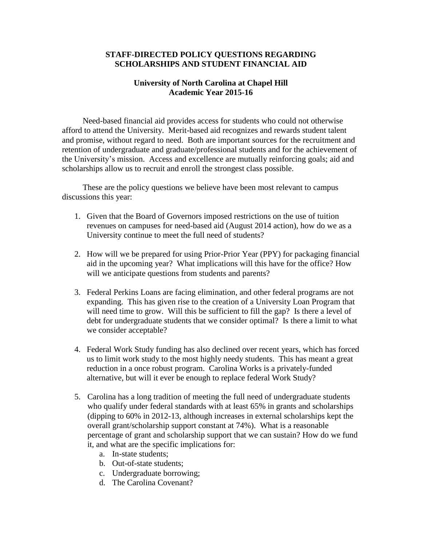## **STAFF-DIRECTED POLICY QUESTIONS REGARDING SCHOLARSHIPS AND STUDENT FINANCIAL AID**

## **University of North Carolina at Chapel Hill Academic Year 2015-16**

 Need-based financial aid provides access for students who could not otherwise afford to attend the University. Merit-based aid recognizes and rewards student talent and promise, without regard to need. Both are important sources for the recruitment and retention of undergraduate and graduate/professional students and for the achievement of the University's mission. Access and excellence are mutually reinforcing goals; aid and scholarships allow us to recruit and enroll the strongest class possible.

 These are the policy questions we believe have been most relevant to campus discussions this year:

- 1. Given that the Board of Governors imposed restrictions on the use of tuition revenues on campuses for need-based aid (August 2014 action), how do we as a University continue to meet the full need of students?
- 2. How will we be prepared for using Prior-Prior Year (PPY) for packaging financial aid in the upcoming year? What implications will this have for the office? How will we anticipate questions from students and parents?
- 3. Federal Perkins Loans are facing elimination, and other federal programs are not expanding. This has given rise to the creation of a University Loan Program that will need time to grow. Will this be sufficient to fill the gap? Is there a level of debt for undergraduate students that we consider optimal? Is there a limit to what we consider acceptable?
- 4. Federal Work Study funding has also declined over recent years, which has forced us to limit work study to the most highly needy students. This has meant a great reduction in a once robust program. Carolina Works is a privately-funded alternative, but will it ever be enough to replace federal Work Study?
- 5. Carolina has a long tradition of meeting the full need of undergraduate students who qualify under federal standards with at least 65% in grants and scholarships (dipping to 60% in 2012-13, although increases in external scholarships kept the overall grant/scholarship support constant at 74%). What is a reasonable percentage of grant and scholarship support that we can sustain? How do we fund it, and what are the specific implications for:
	- a. In-state students;
	- b. Out-of-state students;
	- c. Undergraduate borrowing;
	- d. The Carolina Covenant?